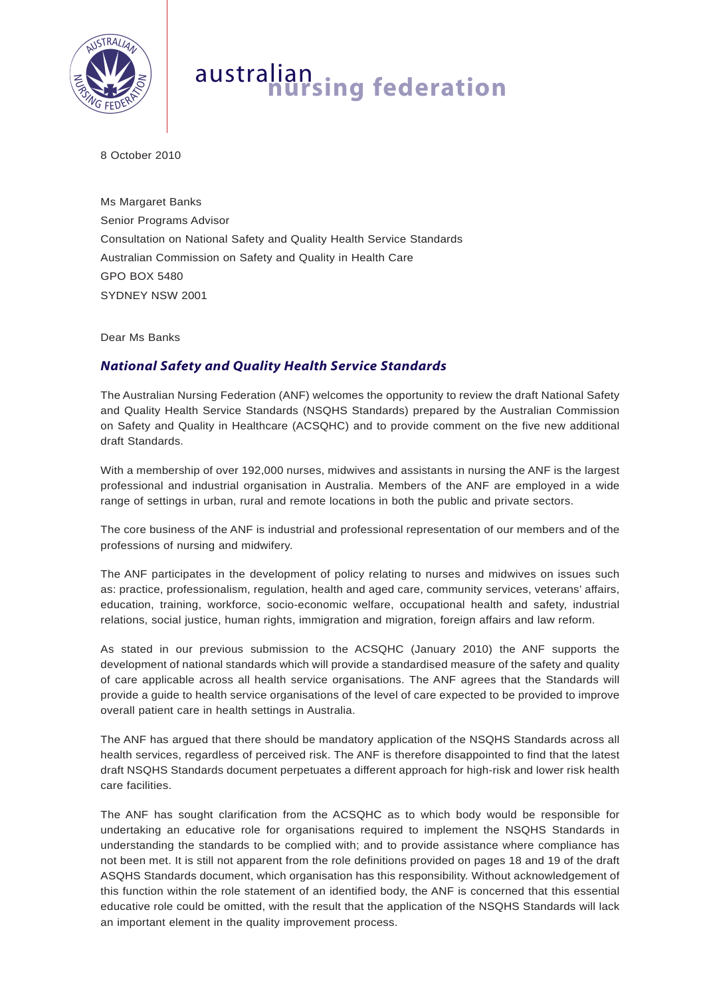

## australian **nursing federation**

8 October 2010

Ms Margaret Banks Senior Programs Advisor Consultation on National Safety and Quality Health Service Standards Australian Commission on Safety and Quality in Health Care GPO BOX 5480 SYDNEY NSW 2001

Dear Ms Banks

## *National Safety and Quality Health Service Standards*

The Australian Nursing Federation (ANF) welcomes the opportunity to review the draft National Safety and Quality Health Service Standards (NSQHS Standards) prepared by the Australian Commission on Safety and Quality in Healthcare (ACSQHC) and to provide comment on the five new additional draft Standards.

With a membership of over 192,000 nurses, midwives and assistants in nursing the ANF is the largest professional and industrial organisation in Australia. Members of the ANF are employed in a wide range of settings in urban, rural and remote locations in both the public and private sectors.

The core business of the ANF is industrial and professional representation of our members and of the professions of nursing and midwifery.

The ANF participates in the development of policy relating to nurses and midwives on issues such as: practice, professionalism, regulation, health and aged care, community services, veterans' affairs, education, training, workforce, socio-economic welfare, occupational health and safety, industrial relations, social justice, human rights, immigration and migration, foreign affairs and law reform.

As stated in our previous submission to the ACSQHC (January 2010) the ANF supports the development of national standards which will provide a standardised measure of the safety and quality of care applicable across all health service organisations. The ANF agrees that the Standards will provide a guide to health service organisations of the level of care expected to be provided to improve overall patient care in health settings in Australia.

The ANF has argued that there should be mandatory application of the NSQHS Standards across all health services, regardless of perceived risk. The ANF is therefore disappointed to find that the latest draft NSQHS Standards document perpetuates a different approach for high-risk and lower risk health care facilities.

The ANF has sought clarification from the ACSQHC as to which body would be responsible for undertaking an educative role for organisations required to implement the NSQHS Standards in understanding the standards to be complied with; and to provide assistance where compliance has not been met. It is still not apparent from the role definitions provided on pages 18 and 19 of the draft ASQHS Standards document, which organisation has this responsibility. Without acknowledgement of this function within the role statement of an identified body, the ANF is concerned that this essential educative role could be omitted, with the result that the application of the NSQHS Standards will lack an important element in the quality improvement process.